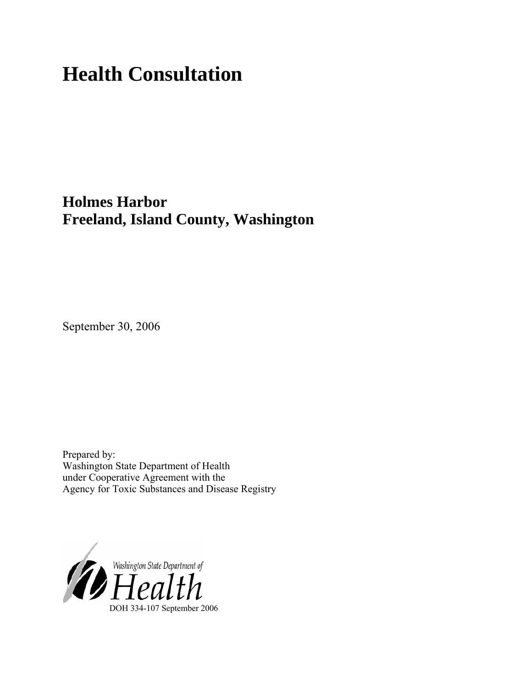# **Health Consultation**

## **Holmes Harbor Freeland, Island County, Washington**

September 30, 2006

Prepared by: Washington State Department of Health under Cooperative Agreement with the Agency for Toxic Substances and Disease Registry

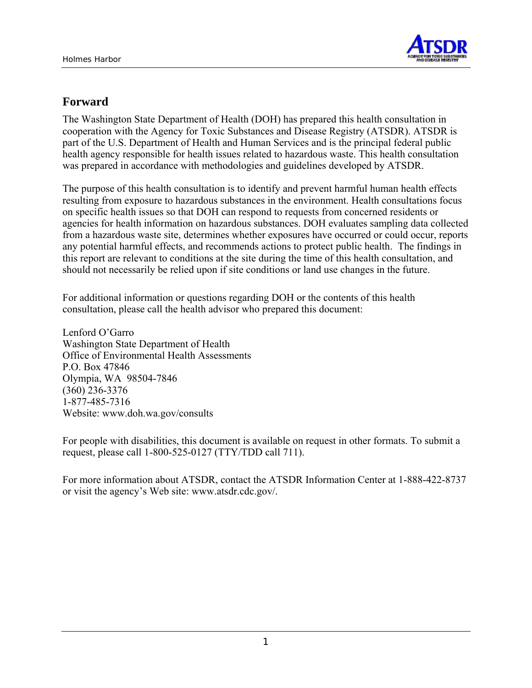

## **Forward**

The Washington State Department of Health (DOH) has prepared this health consultation in cooperation with the Agency for Toxic Substances and Disease Registry (ATSDR). ATSDR is part of the U.S. Department of Health and Human Services and is the principal federal public health agency responsible for health issues related to hazardous waste. This health consultation was prepared in accordance with methodologies and guidelines developed by ATSDR.

The purpose of this health consultation is to identify and prevent harmful human health effects resulting from exposure to hazardous substances in the environment. Health consultations focus on specific health issues so that DOH can respond to requests from concerned residents or agencies for health information on hazardous substances. DOH evaluates sampling data collected from a hazardous waste site, determines whether exposures have occurred or could occur, reports any potential harmful effects, and recommends actions to protect public health. The findings in this report are relevant to conditions at the site during the time of this health consultation, and should not necessarily be relied upon if site conditions or land use changes in the future.

For additional information or questions regarding DOH or the contents of this health consultation, please call the health advisor who prepared this document:

Lenford O'Garro Washington State Department of Health Office of Environmental Health Assessments P.O. Box 47846 Olympia, WA 98504-7846 (360) 236-3376 1-877-485-7316 Website: [www.doh.wa.gov/consults](http://www.doh.wa.gov/consults)

For people with disabilities, this document is available on request in other formats. To submit a request, please call 1-800-525-0127 (TTY/TDD call 711).

For more information about ATSDR, contact the ATSDR Information Center at 1-888-422-8737 or visit the agency's Web site: www.atsdr.cdc.gov/.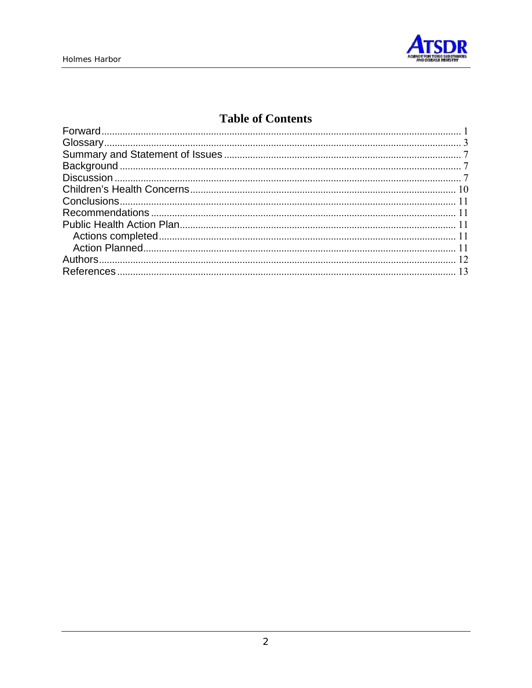

## **Table of Contents**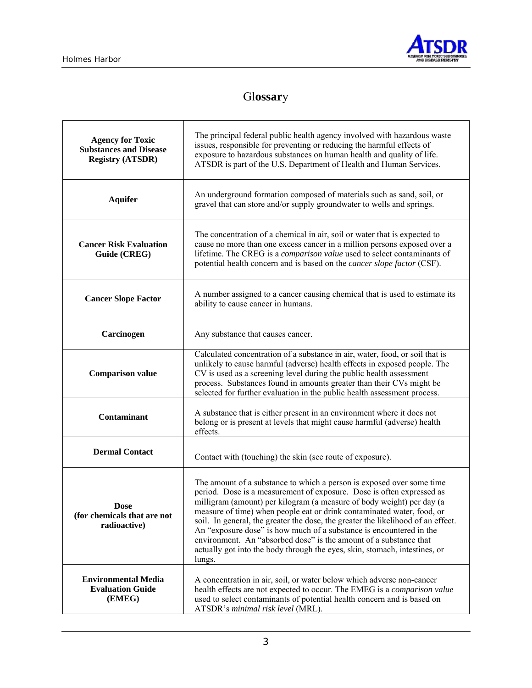

## Gl**ossar**y

| <b>Agency for Toxic</b><br><b>Substances and Disease</b><br><b>Registry (ATSDR)</b> | The principal federal public health agency involved with hazardous waste<br>issues, responsible for preventing or reducing the harmful effects of<br>exposure to hazardous substances on human health and quality of life.<br>ATSDR is part of the U.S. Department of Health and Human Services.                                                                                                                                                                                                                                                                                                                          |  |  |  |
|-------------------------------------------------------------------------------------|---------------------------------------------------------------------------------------------------------------------------------------------------------------------------------------------------------------------------------------------------------------------------------------------------------------------------------------------------------------------------------------------------------------------------------------------------------------------------------------------------------------------------------------------------------------------------------------------------------------------------|--|--|--|
| <b>Aquifer</b>                                                                      | An underground formation composed of materials such as sand, soil, or<br>gravel that can store and/or supply groundwater to wells and springs.                                                                                                                                                                                                                                                                                                                                                                                                                                                                            |  |  |  |
| <b>Cancer Risk Evaluation</b><br>Guide (CREG)                                       | The concentration of a chemical in air, soil or water that is expected to<br>cause no more than one excess cancer in a million persons exposed over a<br>lifetime. The CREG is a comparison value used to select contaminants of<br>potential health concern and is based on the <i>cancer slope factor</i> (CSF).                                                                                                                                                                                                                                                                                                        |  |  |  |
| <b>Cancer Slope Factor</b>                                                          | A number assigned to a cancer causing chemical that is used to estimate its<br>ability to cause cancer in humans.                                                                                                                                                                                                                                                                                                                                                                                                                                                                                                         |  |  |  |
| Carcinogen                                                                          | Any substance that causes cancer.                                                                                                                                                                                                                                                                                                                                                                                                                                                                                                                                                                                         |  |  |  |
| <b>Comparison value</b>                                                             | Calculated concentration of a substance in air, water, food, or soil that is<br>unlikely to cause harmful (adverse) health effects in exposed people. The<br>CV is used as a screening level during the public health assessment<br>process. Substances found in amounts greater than their CVs might be<br>selected for further evaluation in the public health assessment process.                                                                                                                                                                                                                                      |  |  |  |
| <b>Contaminant</b>                                                                  | A substance that is either present in an environment where it does not<br>belong or is present at levels that might cause harmful (adverse) health<br>effects.                                                                                                                                                                                                                                                                                                                                                                                                                                                            |  |  |  |
| <b>Dermal Contact</b>                                                               | Contact with (touching) the skin (see route of exposure).                                                                                                                                                                                                                                                                                                                                                                                                                                                                                                                                                                 |  |  |  |
| <b>Dose</b><br>(for chemicals that are not<br>radioactive)                          | The amount of a substance to which a person is exposed over some time<br>period. Dose is a measurement of exposure. Dose is often expressed as<br>milligram (amount) per kilogram (a measure of body weight) per day (a<br>measure of time) when people eat or drink contaminated water, food, or<br>soil. In general, the greater the dose, the greater the likelihood of an effect.<br>An "exposure dose" is how much of a substance is encountered in the<br>environment. An "absorbed dose" is the amount of a substance that<br>actually got into the body through the eyes, skin, stomach, intestines, or<br>lungs. |  |  |  |
| <b>Environmental Media</b><br><b>Evaluation Guide</b><br>(EMEG)                     | A concentration in air, soil, or water below which adverse non-cancer<br>health effects are not expected to occur. The EMEG is a comparison value<br>used to select contaminants of potential health concern and is based on<br>ATSDR's minimal risk level (MRL).                                                                                                                                                                                                                                                                                                                                                         |  |  |  |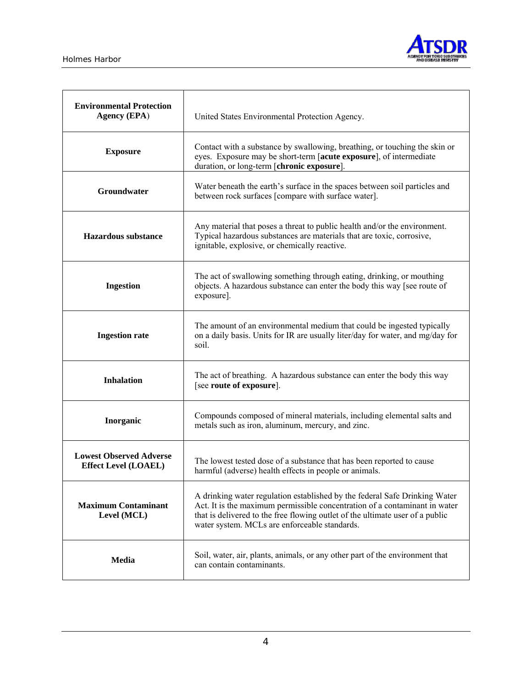

| <b>Environmental Protection</b><br><b>Agency (EPA)</b>        | United States Environmental Protection Agency.                                                                                                                                                                                                                                             |  |  |
|---------------------------------------------------------------|--------------------------------------------------------------------------------------------------------------------------------------------------------------------------------------------------------------------------------------------------------------------------------------------|--|--|
| <b>Exposure</b>                                               | Contact with a substance by swallowing, breathing, or touching the skin or<br>eyes. Exposure may be short-term [acute exposure], of intermediate<br>duration, or long-term [chronic exposure].                                                                                             |  |  |
| Groundwater                                                   | Water beneath the earth's surface in the spaces between soil particles and<br>between rock surfaces [compare with surface water].                                                                                                                                                          |  |  |
| Hazardous substance                                           | Any material that poses a threat to public health and/or the environment.<br>Typical hazardous substances are materials that are toxic, corrosive,<br>ignitable, explosive, or chemically reactive.                                                                                        |  |  |
| <b>Ingestion</b>                                              | The act of swallowing something through eating, drinking, or mouthing<br>objects. A hazardous substance can enter the body this way [see route of<br>exposure].                                                                                                                            |  |  |
| <b>Ingestion rate</b>                                         | The amount of an environmental medium that could be ingested typically<br>on a daily basis. Units for IR are usually liter/day for water, and mg/day for<br>soil.                                                                                                                          |  |  |
| <b>Inhalation</b>                                             | The act of breathing. A hazardous substance can enter the body this way<br>[see route of exposure].                                                                                                                                                                                        |  |  |
| Inorganic                                                     | Compounds composed of mineral materials, including elemental salts and<br>metals such as iron, aluminum, mercury, and zinc.                                                                                                                                                                |  |  |
| <b>Lowest Observed Adverse</b><br><b>Effect Level (LOAEL)</b> | The lowest tested dose of a substance that has been reported to cause<br>harmful (adverse) health effects in people or animals.                                                                                                                                                            |  |  |
| <b>Maximum Contaminant</b><br>Level (MCL)                     | A drinking water regulation established by the federal Safe Drinking Water<br>Act. It is the maximum permissible concentration of a contaminant in water<br>that is delivered to the free flowing outlet of the ultimate user of a public<br>water system. MCLs are enforceable standards. |  |  |
| Media                                                         | Soil, water, air, plants, animals, or any other part of the environment that<br>can contain contaminants.                                                                                                                                                                                  |  |  |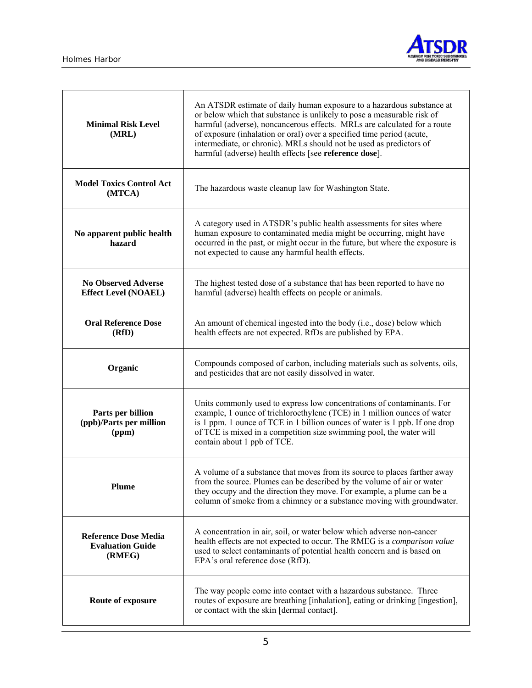

| <b>Minimal Risk Level</b><br>(MRL)                               | An ATSDR estimate of daily human exposure to a hazardous substance at<br>or below which that substance is unlikely to pose a measurable risk of<br>harmful (adverse), noncancerous effects. MRLs are calculated for a route<br>of exposure (inhalation or oral) over a specified time period (acute,<br>intermediate, or chronic). MRLs should not be used as predictors of<br>harmful (adverse) health effects [see reference dose]. |  |  |
|------------------------------------------------------------------|---------------------------------------------------------------------------------------------------------------------------------------------------------------------------------------------------------------------------------------------------------------------------------------------------------------------------------------------------------------------------------------------------------------------------------------|--|--|
| <b>Model Toxics Control Act</b><br>(MTCA)                        | The hazardous waste cleanup law for Washington State.                                                                                                                                                                                                                                                                                                                                                                                 |  |  |
| No apparent public health<br>hazard                              | A category used in ATSDR's public health assessments for sites where<br>human exposure to contaminated media might be occurring, might have<br>occurred in the past, or might occur in the future, but where the exposure is<br>not expected to cause any harmful health effects.                                                                                                                                                     |  |  |
| <b>No Observed Adverse</b><br><b>Effect Level (NOAEL)</b>        | The highest tested dose of a substance that has been reported to have no<br>harmful (adverse) health effects on people or animals.                                                                                                                                                                                                                                                                                                    |  |  |
| <b>Oral Reference Dose</b><br>(RfD)                              | An amount of chemical ingested into the body (i.e., dose) below which<br>health effects are not expected. RfDs are published by EPA.                                                                                                                                                                                                                                                                                                  |  |  |
| Organic                                                          | Compounds composed of carbon, including materials such as solvents, oils,<br>and pesticides that are not easily dissolved in water.                                                                                                                                                                                                                                                                                                   |  |  |
| Parts per billion<br>(ppb)/Parts per million<br>(ppm)            | Units commonly used to express low concentrations of contaminants. For<br>example, 1 ounce of trichloroethylene (TCE) in 1 million ounces of water<br>is 1 ppm. 1 ounce of TCE in 1 billion ounces of water is 1 ppb. If one drop<br>of TCE is mixed in a competition size swimming pool, the water will<br>contain about 1 ppb of TCE.                                                                                               |  |  |
| <b>Plume</b>                                                     | A volume of a substance that moves from its source to places farther away<br>from the source. Plumes can be described by the volume of air or water<br>they occupy and the direction they move. For example, a plume can be a<br>column of smoke from a chimney or a substance moving with groundwater.                                                                                                                               |  |  |
| <b>Reference Dose Media</b><br><b>Evaluation Guide</b><br>(RMEG) | A concentration in air, soil, or water below which adverse non-cancer<br>health effects are not expected to occur. The RMEG is a comparison value<br>used to select contaminants of potential health concern and is based on<br>EPA's oral reference dose (RfD).                                                                                                                                                                      |  |  |
| Route of exposure                                                | The way people come into contact with a hazardous substance. Three<br>routes of exposure are breathing [inhalation], eating or drinking [ingestion],<br>or contact with the skin [dermal contact].                                                                                                                                                                                                                                    |  |  |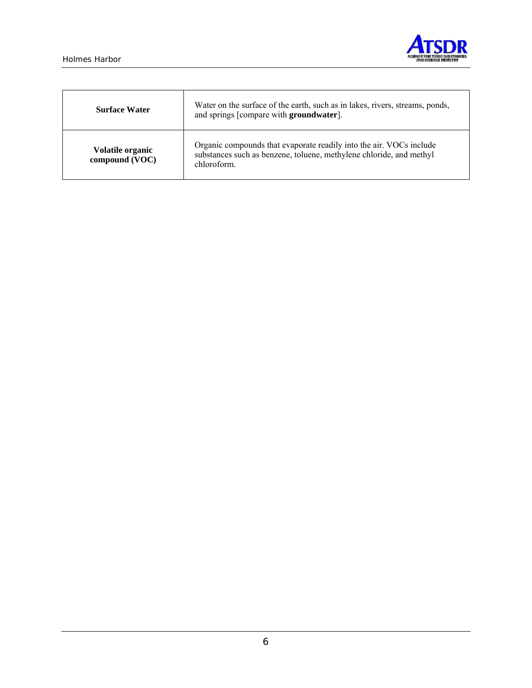

| <b>Surface Water</b>               | Water on the surface of the earth, such as in lakes, rivers, streams, ponds,<br>and springs [compare with groundwater].                                   |
|------------------------------------|-----------------------------------------------------------------------------------------------------------------------------------------------------------|
| Volatile organic<br>compound (VOC) | Organic compounds that evaporate readily into the air. VOCs include<br>substances such as benzene, toluene, methylene chloride, and methyl<br>chloroform. |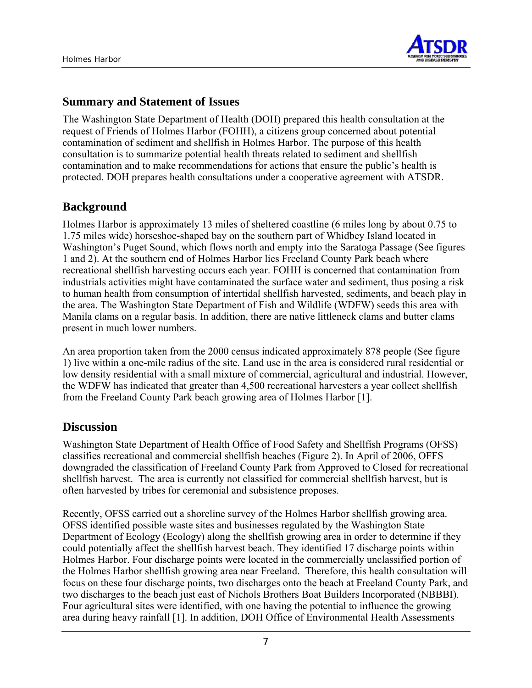

#### **Summary and Statement of Issues**

The Washington State Department of Health (DOH) prepared this health consultation at the request of Friends of Holmes Harbor (FOHH), a citizens group concerned about potential contamination of sediment and shellfish in Holmes Harbor. The purpose of this health consultation is to summarize potential health threats related to sediment and shellfish contamination and to make recommendations for actions that ensure the public's health is protected. DOH prepares health consultations under a cooperative agreement with ATSDR.

## **Background**

Holmes Harbor is approximately 13 miles of sheltered coastline (6 miles long by about 0.75 to 1.75 miles wide) horseshoe-shaped bay on the southern part of Whidbey Island located in Washington's Puget Sound, which flows north and empty into the Saratoga Passage (See figures 1 and 2). At the southern end of Holmes Harbor lies Freeland County Park beach where recreational shellfish harvesting occurs each year. FOHH is concerned that contamination from industrials activities might have contaminated the surface water and sediment, thus posing a risk to human health from consumption of intertidal shellfish harvested, sediments, and beach play in the area. The Washington State Department of Fish and Wildlife (WDFW) seeds this area with Manila clams on a regular basis. In addition, there are native littleneck clams and butter clams present in much lower numbers.

An area proportion taken from the 2000 census indicated approximately 878 people (See figure 1) live within a one-mile radius of the site. Land use in the area is considered rural residential or low density residential with a small mixture of commercial, agricultural and industrial. However, the WDFW has indicated that greater than 4,500 recreational harvesters a year collect shellfish from the Freeland County Park beach growing area of Holmes Harbor [1].

## **Discussion**

Washington State Department of Health Office of Food Safety and Shellfish Programs (OFSS) classifies recreational and commercial shellfish beaches (Figure 2). In April of 2006, OFFS downgraded the classification of Freeland County Park from Approved to Closed for recreational shellfish harvest. The area is currently not classified for commercial shellfish harvest, but is often harvested by tribes for ceremonial and subsistence proposes.

Recently, OFSS carried out a shoreline survey of the Holmes Harbor shellfish growing area. OFSS identified possible waste sites and businesses regulated by the Washington State Department of Ecology (Ecology) along the shellfish growing area in order to determine if they could potentially affect the shellfish harvest beach. They identified 17 discharge points within Holmes Harbor. Four discharge points were located in the commercially unclassified portion of the Holmes Harbor shellfish growing area near Freeland. Therefore, this health consultation will focus on these four discharge points, two discharges onto the beach at Freeland County Park, and two discharges to the beach just east of Nichols Brothers Boat Builders Incorporated (NBBBI). Four agricultural sites were identified, with one having the potential to influence the growing area during heavy rainfall [1]. In addition, DOH Office of Environmental Health Assessments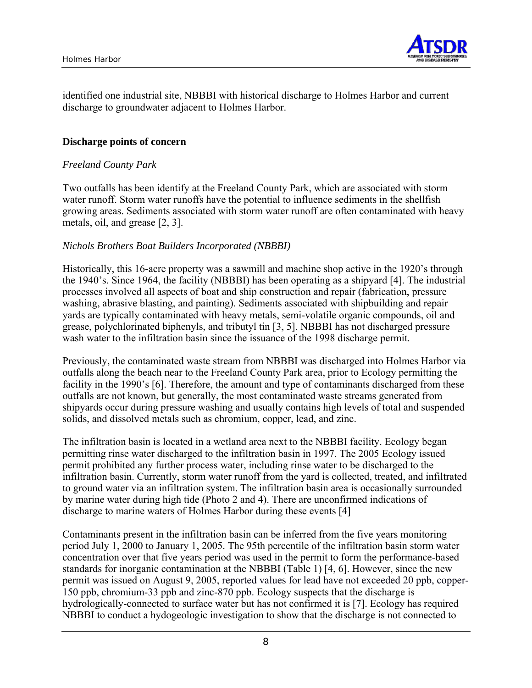

identified one industrial site, NBBBI with historical discharge to Holmes Harbor and current discharge to groundwater adjacent to Holmes Harbor.

#### **Discharge points of concern**

#### *Freeland County Park*

Two outfalls has been identify at the Freeland County Park, which are associated with storm water runoff. Storm water runoffs have the potential to influence sediments in the shellfish growing areas. Sediments associated with storm water runoff are often contaminated with heavy metals, oil, and grease [2, 3].

#### *Nichols Brothers Boat Builders Incorporated (NBBBI)*

Historically, this 16-acre property was a sawmill and machine shop active in the 1920's through the 1940's. Since 1964, the facility (NBBBI) has been operating as a shipyard [4]. The industrial processes involved all aspects of boat and ship construction and repair (fabrication, pressure washing, abrasive blasting, and painting). Sediments associated with shipbuilding and repair yards are typically contaminated with heavy metals, semi-volatile organic compounds, oil and grease, polychlorinated biphenyls, and tributyl tin [3, 5]. NBBBI has not discharged pressure wash water to the infiltration basin since the issuance of the 1998 discharge permit.

Previously, the contaminated waste stream from NBBBI was discharged into Holmes Harbor via outfalls along the beach near to the Freeland County Park area, prior to Ecology permitting the facility in the 1990's [6]. Therefore, the amount and type of contaminants discharged from these outfalls are not known, but generally, the most contaminated waste streams generated from shipyards occur during pressure washing and usually contains high levels of total and suspended solids, and dissolved metals such as chromium, copper, lead, and zinc.

The infiltration basin is located in a wetland area next to the NBBBI facility. Ecology began permitting rinse water discharged to the infiltration basin in 1997. The 2005 Ecology issued permit prohibited any further process water, including rinse water to be discharged to the infiltration basin. Currently, storm water runoff from the yard is collected, treated, and infiltrated to ground water via an infiltration system. The infiltration basin area is occasionally surrounded by marine water during high tide (Photo 2 and 4). There are unconfirmed indications of discharge to marine waters of Holmes Harbor during these events [4]

Contaminants present in the infiltration basin can be inferred from the five years monitoring period July 1, 2000 to January 1, 2005. The 95th percentile of the infiltration basin storm water concentration over that five years period was used in the permit to form the performance-based standards for inorganic contamination at the NBBBI (Table 1) [4, 6]. However, since the new permit was issued on August 9, 2005, reported values for lead have not exceeded 20 ppb, copper-150 ppb, chromium-33 ppb and zinc-870 ppb. Ecology suspects that the discharge is hydrologically-connected to surface water but has not confirmed it is [7]. Ecology has required NBBBI to conduct a hydogeologic investigation to show that the discharge is not connected to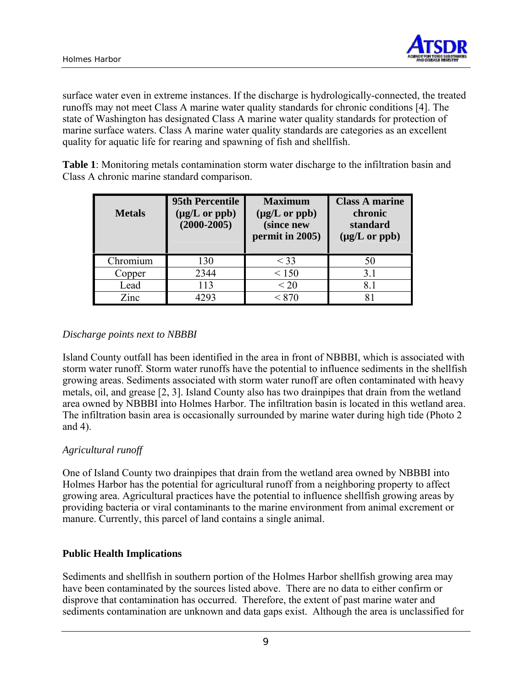

surface water even in extreme instances. If the discharge is hydrologically-connected, the treated runoffs may not meet Class A marine water quality standards for chronic conditions [4]. The state of Washington has designated Class A marine water quality standards for protection of marine surface waters. Class A marine water quality standards are categories as an excellent quality for aquatic life for rearing and spawning of fish and shellfish.

**Table 1**: Monitoring metals contamination storm water discharge to the infiltration basin and Class A chronic marine standard comparison.

| <b>Metals</b> | 95th Percentile<br>$(\mu g/L \text{ or } \text{ppb})$<br>$(2000 - 2005)$ | <b>Maximum</b><br>$(\mu g/L \text{ or } \text{ppb})$<br>(since new<br>permit in 2005) | <b>Class A marine</b><br>chronic<br>standard<br>$(\mu g/L \text{ or } \text{ppb})$ |
|---------------|--------------------------------------------------------------------------|---------------------------------------------------------------------------------------|------------------------------------------------------------------------------------|
| Chromium      | 130                                                                      | $<$ 33                                                                                | 50                                                                                 |
| Copper        | 2344                                                                     | < 150                                                                                 | 3.1                                                                                |
| Lead          | 113                                                                      | < 20                                                                                  | 8.1                                                                                |
| Zinc          | 293                                                                      | < 870                                                                                 |                                                                                    |

#### *Discharge points next to NBBBI*

Island County outfall has been identified in the area in front of NBBBI, which is associated with storm water runoff. Storm water runoffs have the potential to influence sediments in the shellfish growing areas. Sediments associated with storm water runoff are often contaminated with heavy metals, oil, and grease [2, 3]. Island County also has two drainpipes that drain from the wetland area owned by NBBBI into Holmes Harbor. The infiltration basin is located in this wetland area. The infiltration basin area is occasionally surrounded by marine water during high tide (Photo 2 and 4).

#### *Agricultural runoff*

One of Island County two drainpipes that drain from the wetland area owned by NBBBI into Holmes Harbor has the potential for agricultural runoff from a neighboring property to affect growing area. Agricultural practices have the potential to influence shellfish growing areas by providing bacteria or viral contaminants to the marine environment from animal excrement or manure. Currently, this parcel of land contains a single animal.

#### **Public Health Implications**

Sediments and shellfish in southern portion of the Holmes Harbor shellfish growing area may have been contaminated by the sources listed above. There are no data to either confirm or disprove that contamination has occurred. Therefore, the extent of past marine water and sediments contamination are unknown and data gaps exist. Although the area is unclassified for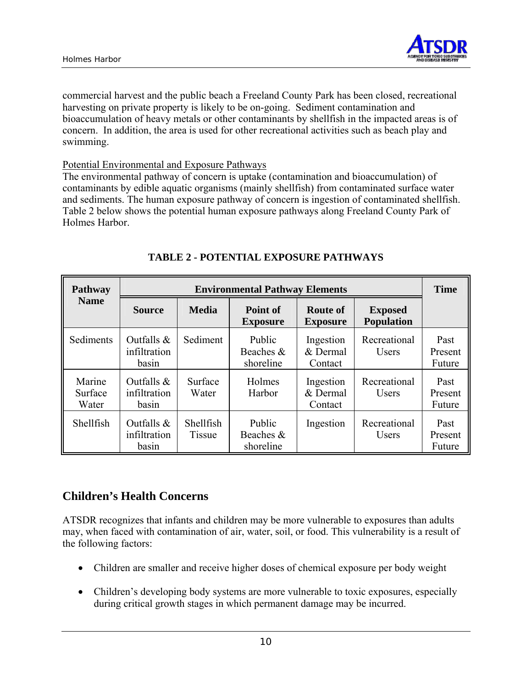

commercial harvest and the public beach a Freeland County Park has been closed, recreational harvesting on private property is likely to be on-going. Sediment contamination and bioaccumulation of heavy metals or other contaminants by shellfish in the impacted areas is of concern. In addition, the area is used for other recreational activities such as beach play and swimming.

#### Potential Environmental and Exposure Pathways

The environmental pathway of concern is uptake (contamination and bioaccumulation) of contaminants by edible aquatic organisms (mainly shellfish) from contaminated surface water and sediments. The human exposure pathway of concern is ingestion of contaminated shellfish. Table 2 below shows the potential human exposure pathways along Freeland County Park of Holmes Harbor.

| <b>Pathway</b>             | <b>Environmental Pathway Elements</b>  |                     |                                  |                                    |                                     | <b>Time</b>               |
|----------------------------|----------------------------------------|---------------------|----------------------------------|------------------------------------|-------------------------------------|---------------------------|
| <b>Name</b>                | <b>Source</b>                          | <b>Media</b>        | Point of<br><b>Exposure</b>      | <b>Route of</b><br><b>Exposure</b> | <b>Exposed</b><br><b>Population</b> |                           |
| Sediments                  | Outfalls $\&$<br>infiltration<br>basin | Sediment            | Public<br>Beaches &<br>shoreline | Ingestion<br>& Dermal<br>Contact   | Recreational<br><b>Users</b>        | Past<br>Present<br>Future |
| Marine<br>Surface<br>Water | Outfalls $\&$<br>infiltration<br>basin | Surface<br>Water    | Holmes<br>Harbor                 | Ingestion<br>& Dermal<br>Contact   | Recreational<br><b>Users</b>        | Past<br>Present<br>Future |
| Shellfish                  | Outfalls $\&$<br>infiltration<br>basin | Shellfish<br>Tissue | Public<br>Beaches &<br>shoreline | Ingestion                          | Recreational<br>Users               | Past<br>Present<br>Future |

## **TABLE 2 - POTENTIAL EXPOSURE PATHWAYS**

## **Children's Health Concerns**

ATSDR recognizes that infants and children may be more vulnerable to exposures than adults may, when faced with contamination of air, water, soil, or food. This vulnerability is a result of the following factors:

- Children are smaller and receive higher doses of chemical exposure per body weight
- Children's developing body systems are more vulnerable to toxic exposures, especially during critical growth stages in which permanent damage may be incurred.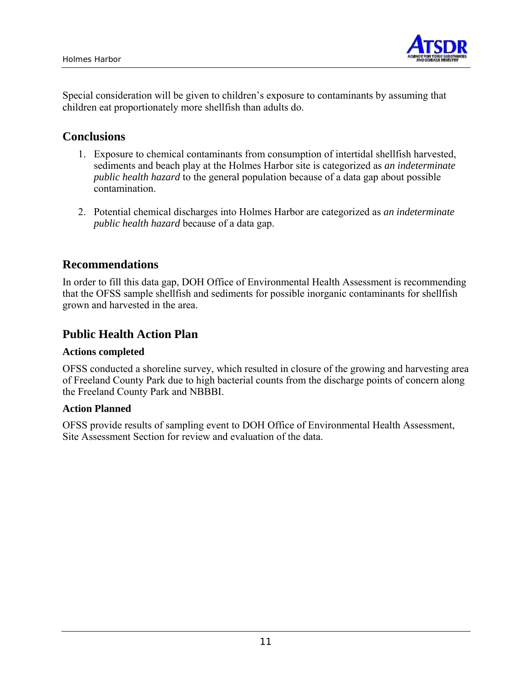

Special consideration will be given to children's exposure to contaminants by assuming that children eat proportionately more shellfish than adults do.

#### **Conclusions**

- 1. Exposure to chemical contaminants from consumption of intertidal shellfish harvested, sediments and beach play at the Holmes Harbor site is categorized as *an indeterminate public health hazard* to the general population because of a data gap about possible contamination.
- 2. Potential chemical discharges into Holmes Harbor are categorized as *an indeterminate public health hazard* because of a data gap.

## **Recommendations**

In order to fill this data gap, DOH Office of Environmental Health Assessment is recommending that the OFSS sample shellfish and sediments for possible inorganic contaminants for shellfish grown and harvested in the area.

## **Public Health Action Plan**

#### **Actions completed**

OFSS conducted a shoreline survey, which resulted in closure of the growing and harvesting area of Freeland County Park due to high bacterial counts from the discharge points of concern along the Freeland County Park and NBBBI.

#### **Action Planned**

OFSS provide results of sampling event to DOH Office of Environmental Health Assessment, Site Assessment Section for review and evaluation of the data.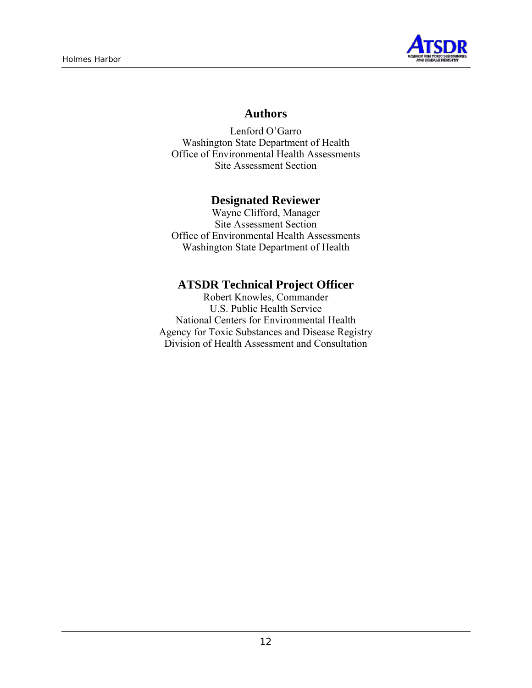

#### **Authors**

Lenford O'Garro Washington State Department of Health Office of Environmental Health Assessments Site Assessment Section

#### **Designated Reviewer**

Wayne Clifford, Manager Site Assessment Section Office of Environmental Health Assessments Washington State Department of Health

## **ATSDR Technical Project Officer**

Robert Knowles, Commander U.S. Public Health Service National Centers for Environmental Health Agency for Toxic Substances and Disease Registry Division of Health Assessment and Consultation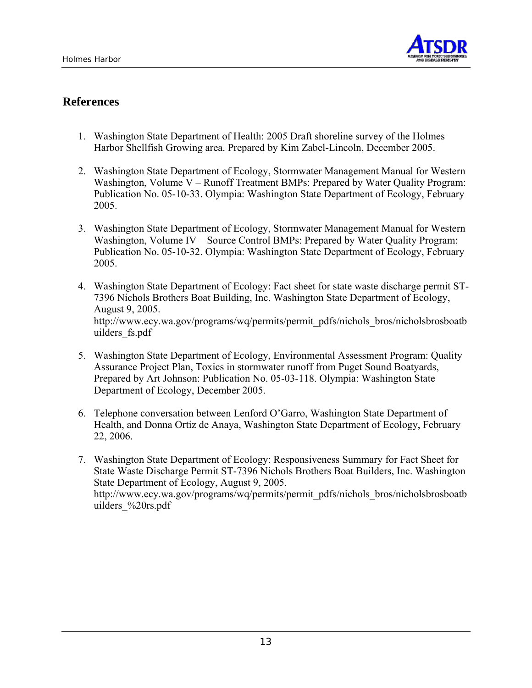

## **References**

- 1. Washington State Department of Health: 2005 Draft shoreline survey of the Holmes Harbor Shellfish Growing area. Prepared by Kim Zabel-Lincoln, December 2005.
- 2. Washington State Department of Ecology, Stormwater Management Manual for Western Washington, Volume V – Runoff Treatment BMPs: Prepared by Water Quality Program: Publication No. 05-10-33. Olympia: Washington State Department of Ecology, February 2005.
- 3. Washington State Department of Ecology, Stormwater Management Manual for Western Washington, Volume IV – Source Control BMPs: Prepared by Water Quality Program: Publication No. 05-10-32. Olympia: Washington State Department of Ecology, February 2005.
- 4. Washington State Department of Ecology: Fact sheet for state waste discharge permit ST-7396 Nichols Brothers Boat Building, Inc. Washington State Department of Ecology, August 9, 2005. http://www.ecy.wa.gov/programs/wq/permits/permit\_pdfs/nichols\_bros/nicholsbrosboatb uilders\_fs.pdf
- 5. Washington State Department of Ecology, Environmental Assessment Program: Quality Assurance Project Plan, Toxics in stormwater runoff from Puget Sound Boatyards, Prepared by Art Johnson: Publication No. 05-03-118. Olympia: Washington State Department of Ecology, December 2005.
- 6. Telephone conversation between Lenford O'Garro, Washington State Department of Health, and Donna Ortiz de Anaya, Washington State Department of Ecology, February 22, 2006.
- 7. Washington State Department of Ecology: Responsiveness Summary for Fact Sheet for State Waste Discharge Permit ST-7396 Nichols Brothers Boat Builders, Inc. Washington State Department of Ecology, August 9, 2005. http://www.ecy.wa.gov/programs/wq/permits/permit\_pdfs/nichols\_bros/nicholsbrosboatb uilders\_%20rs.pdf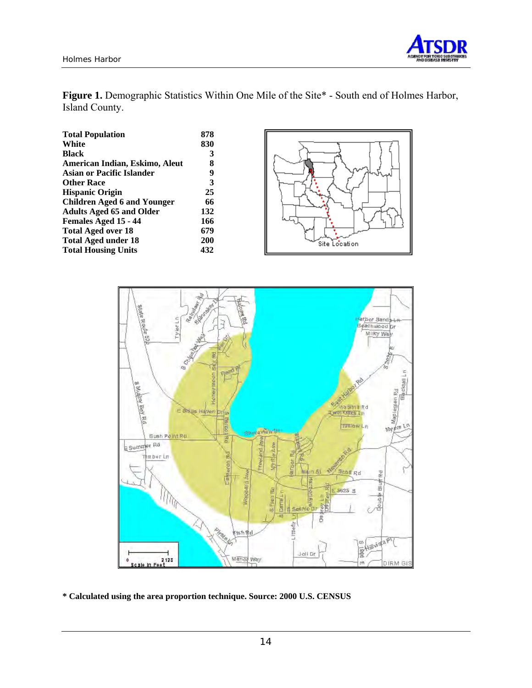

Figure 1. Demographic Statistics Within One Mile of the Site\* - South end of Holmes Harbor, Island County.

| 878 |
|-----|
| 830 |
| 3   |
| 8   |
| 9   |
| 3   |
| 25  |
| 66  |
| 132 |
| 166 |
| 679 |
| 200 |
| 432 |
|     |





**\* Calculated using the area proportion technique. Source: 2000 U.S. CENSUS**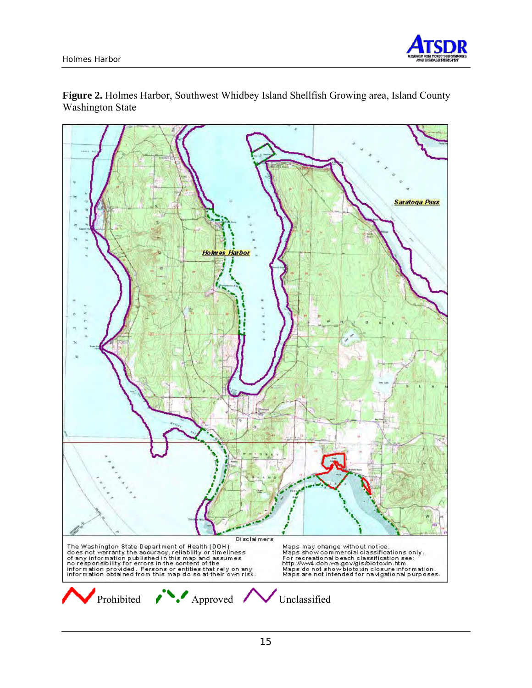

**Figure 2.** Holmes Harbor, Southwest Whidbey Island Shellfish Growing area, Island County Washington State

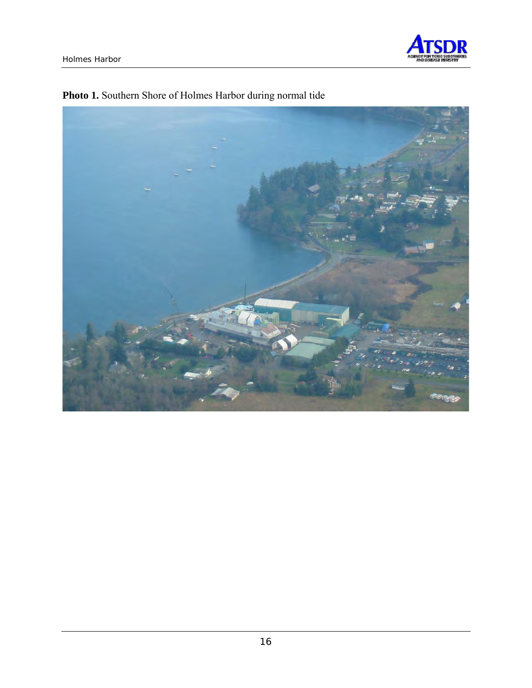



## **Photo 1.** Southern Shore of Holmes Harbor during normal tide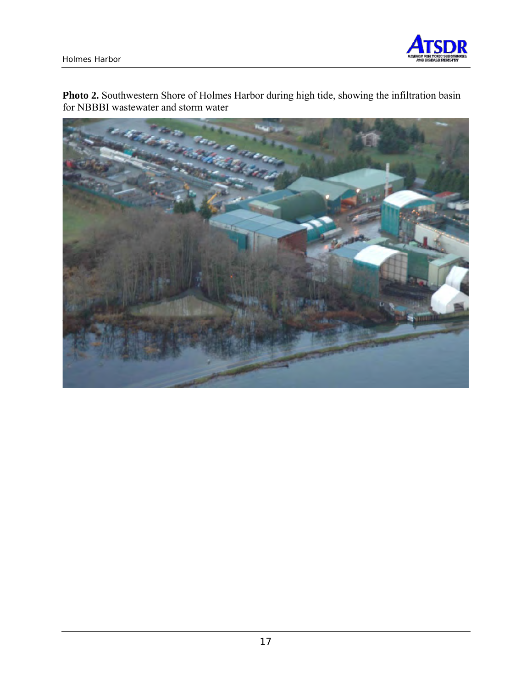

**Photo 2.** Southwestern Shore of Holmes Harbor during high tide, showing the infiltration basin for NBBBI wastewater and storm water

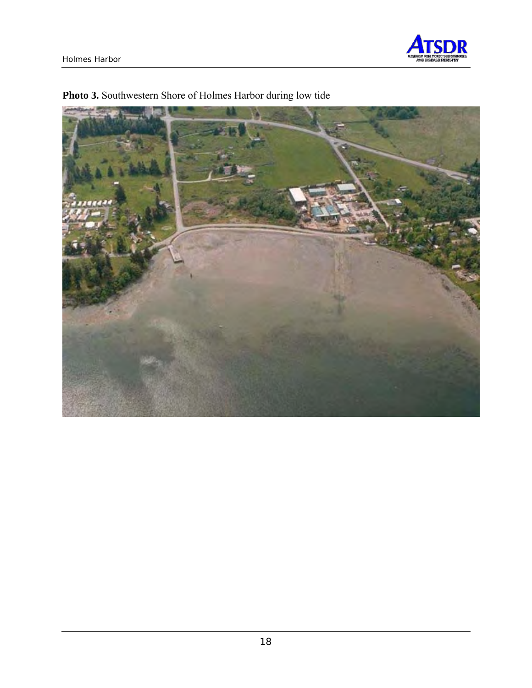



## **Photo 3.** Southwestern Shore of Holmes Harbor during low tide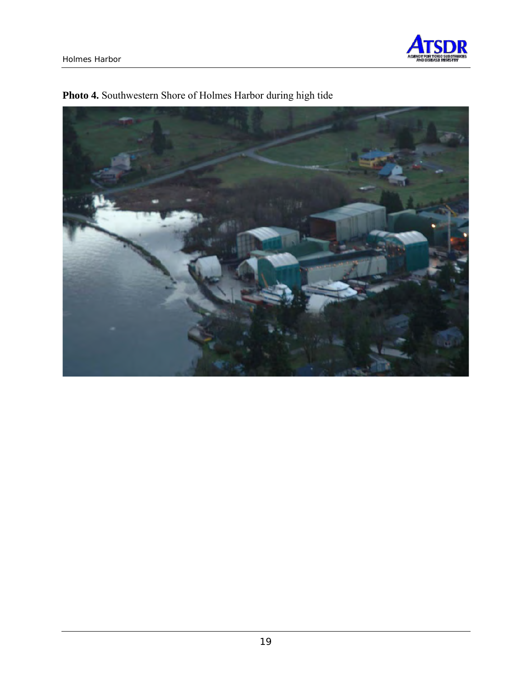



## **Photo 4.** Southwestern Shore of Holmes Harbor during high tide